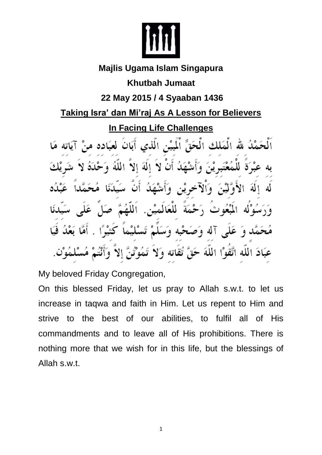

## **Majlis Ugama Islam Singapura**

### **Khutbah Jumaat**

# **22 May 2015 / 4 Syaaban 1436**

# **Taking Isra' dan Mi'raj As A Lesson for Believers**

# **In Facing Life Challenges**

اَلْحَمْدُ لله الْمَلك الْحَقِّ الْمَيْنِ الَّذِي أَبَانَ لعبَادِهِ مِنْ أَنْ لاَ اللّهَ الاَّ الملة للعَا قبه وكبهَ آله وَء عبَادَ اللَّه اتَّقُوْا اللَّهَ

My beloved Friday Congregation,

On this blessed Friday, let us pray to Allah s.w.t. to let us increase in taqwa and faith in Him. Let us repent to Him and strive to the best of our abilities, to fulfil all of His commandments and to leave all of His prohibitions. There is nothing more that we wish for in this life, but the blessings of Allah s.w.t.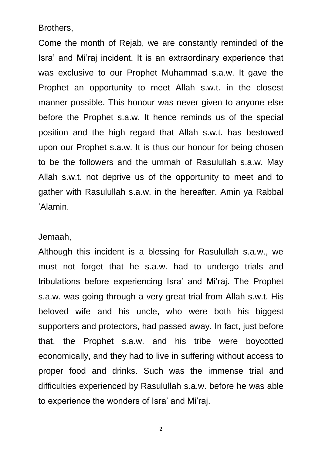Brothers,

Come the month of Rejab, we are constantly reminded of the Isra' and Mi'raj incident. It is an extraordinary experience that was exclusive to our Prophet Muhammad s.a.w. It gave the Prophet an opportunity to meet Allah s.w.t. in the closest manner possible. This honour was never given to anyone else before the Prophet s.a.w. It hence reminds us of the special position and the high regard that Allah s.w.t. has bestowed upon our Prophet s.a.w. It is thus our honour for being chosen to be the followers and the ummah of Rasulullah s.a.w. May Allah s.w.t. not deprive us of the opportunity to meet and to gather with Rasulullah s.a.w. in the hereafter. Amin ya Rabbal 'Alamin.

#### Jemaah,

Although this incident is a blessing for Rasulullah s.a.w., we must not forget that he s.a.w. had to undergo trials and tribulations before experiencing Isra' and Mi'raj. The Prophet s.a.w. was going through a very great trial from Allah s.w.t. His beloved wife and his uncle, who were both his biggest supporters and protectors, had passed away. In fact, just before that, the Prophet s.a.w. and his tribe were boycotted economically, and they had to live in suffering without access to proper food and drinks. Such was the immense trial and difficulties experienced by Rasulullah s.a.w. before he was able to experience the wonders of Isra' and Mi'raj.

2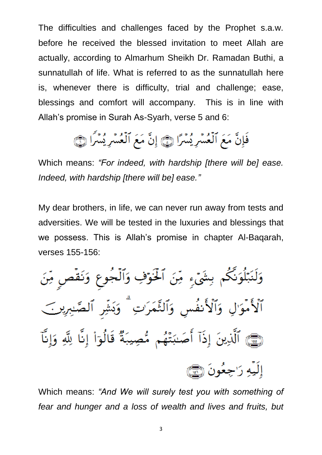The difficulties and challenges faced by the Prophet s.a.w. before he received the blessed invitation to meet Allah are actually, according to Almarhum Sheikh Dr. Ramadan Buthi, a sunnatullah of life. What is referred to as the sunnatullah here is, whenever there is difficulty, trial and challenge; ease, blessings and comfort will accompany. This is in line with Allah's promise in Surah As-Syarh, verse 5 and 6:

فَإِنَّ مَعَ ٱلْعُسْرِ يُسْرًا ﴾ إِنَّ مَعَ ٱلْعُسْرِ يُسْرًا ﴾

Which means: *"For indeed, with hardship [there will be] ease. Indeed, with hardship [there will be] ease."*

My dear brothers, in life, we can never run away from tests and adversities. We will be tested in the luxuries and blessings that we possess. This is Allah's promise in chapter Al-Baqarah, verses 155-156:

وَلَنَبْلُوَنَّكُم بِشَيْءٍ مِّنَ ٱلْحَوْفِ وَٱلْجُوعِ وَنَقْصٍ مِّنَ ٱلْأُمْوَالِ وَٱلْأَنفُسِ وَٱلتَّمَرَّتِ ۗ وَبَشِّرِ ٱلصَّـٰبِرِينَ رْضَى ٱلَّذِينَ إِذَآ أَصَبَتۡهُم مُّصِيبَةٌ قَالُوٓاْ إِنَّا لِلَّهِ وَإِنَّآ إِلَيْهِ رَاجِعُونَ ١

Which means: *"And We will surely test you with something of fear and hunger and a loss of wealth and lives and fruits, but*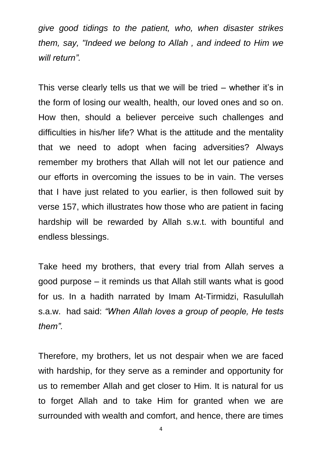*give good tidings to the patient, who, when disaster strikes them, say, "Indeed we belong to Allah , and indeed to Him we will return".*

This verse clearly tells us that we will be tried – whether it's in the form of losing our wealth, health, our loved ones and so on. How then, should a believer perceive such challenges and difficulties in his/her life? What is the attitude and the mentality that we need to adopt when facing adversities? Always remember my brothers that Allah will not let our patience and our efforts in overcoming the issues to be in vain. The verses that I have just related to you earlier, is then followed suit by verse 157, which illustrates how those who are patient in facing hardship will be rewarded by Allah s.w.t. with bountiful and endless blessings.

Take heed my brothers, that every trial from Allah serves a good purpose – it reminds us that Allah still wants what is good for us. In a hadith narrated by Imam At-Tirmidzi, Rasulullah s.a.w. had said: *"When Allah loves a group of people, He tests them".*

Therefore, my brothers, let us not despair when we are faced with hardship, for they serve as a reminder and opportunity for us to remember Allah and get closer to Him. It is natural for us to forget Allah and to take Him for granted when we are surrounded with wealth and comfort, and hence, there are times

4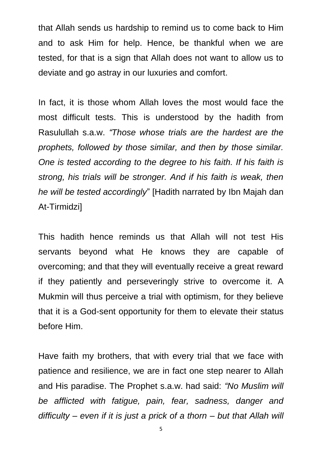that Allah sends us hardship to remind us to come back to Him and to ask Him for help. Hence, be thankful when we are tested, for that is a sign that Allah does not want to allow us to deviate and go astray in our luxuries and comfort.

In fact, it is those whom Allah loves the most would face the most difficult tests. This is understood by the hadith from Rasulullah s.a.w. *"Those whose trials are the hardest are the prophets, followed by those similar, and then by those similar. One is tested according to the degree to his faith. If his faith is strong, his trials will be stronger. And if his faith is weak, then he will be tested accordingly*" [Hadith narrated by Ibn Majah dan At-Tirmidzi]

This hadith hence reminds us that Allah will not test His servants beyond what He knows they are capable of overcoming; and that they will eventually receive a great reward if they patiently and perseveringly strive to overcome it. A Mukmin will thus perceive a trial with optimism, for they believe that it is a God-sent opportunity for them to elevate their status before Him.

Have faith my brothers, that with every trial that we face with patience and resilience, we are in fact one step nearer to Allah and His paradise. The Prophet s.a.w. had said: *"No Muslim will be afflicted with fatigue, pain, fear, sadness, danger and difficulty – even if it is just a prick of a thorn – but that Allah will*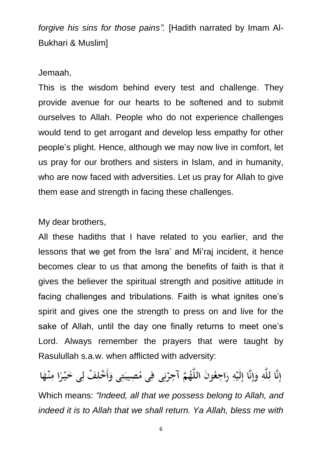*forgive his sins for those pains".* [Hadith narrated by Imam Al-Bukhari & Muslim]

Jemaah,

This is the wisdom behind every test and challenge. They provide avenue for our hearts to be softened and to submit ourselves to Allah. People who do not experience challenges would tend to get arrogant and develop less empathy for other people's plight. Hence, although we may now live in comfort, let us pray for our brothers and sisters in Islam, and in humanity, who are now faced with adversities. Let us pray for Allah to give them ease and strength in facing these challenges.

My dear brothers,

All these hadiths that I have related to you earlier, and the lessons that we get from the Isra' and Mi'raj incident, it hence becomes clear to us that among the benefits of faith is that it gives the believer the spiritual strength and positive attitude in facing challenges and tribulations. Faith is what ignites one's spirit and gives one the strength to press on and live for the sake of Allah, until the day one finally returns to meet one's Lord. Always remember the prayers that were taught by Rasulullah s.a.w. when afflicted with adversity:

إِنَّا لِلَّهِ وَإِنَّا إِلَيْهِ رَاجِعُونَ اللَّهُمَّ آجِرْنِي فِي مُصِيبَتِي وَأَخْلِفٌ لِي خَيْرًا مِنْهَا Which means: *"Indeed, all that we possess belong to Allah, and indeed it is to Allah that we shall return. Ya Allah, bless me with*